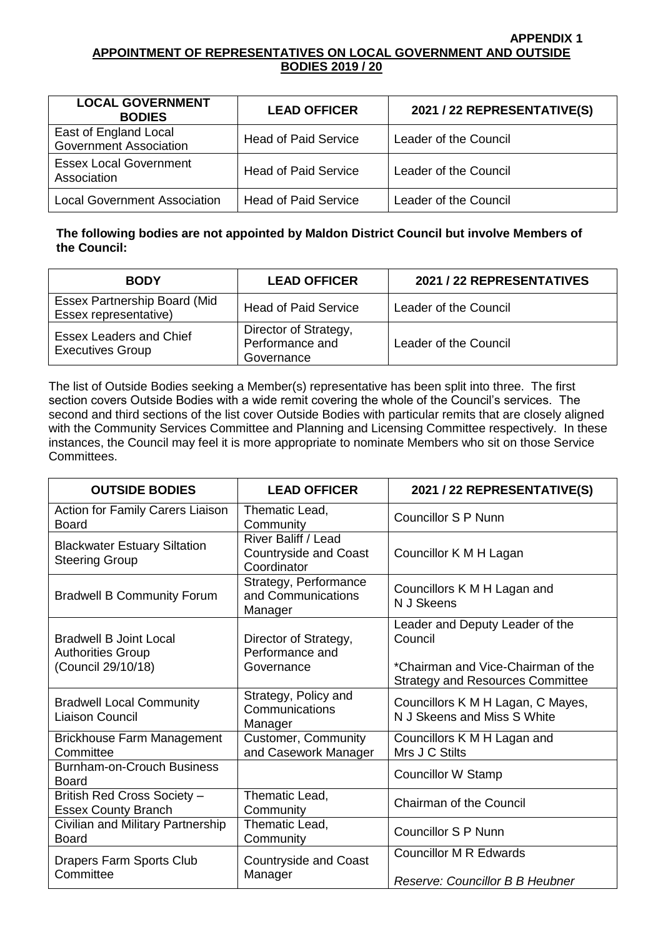#### **APPENDIX 1 APPOINTMENT OF REPRESENTATIVES ON LOCAL GOVERNMENT AND OUTSIDE BODIES 2019 / 20**

| <b>LOCAL GOVERNMENT</b><br><b>BODIES</b>               | <b>LEAD OFFICER</b>         | 2021 / 22 REPRESENTATIVE(S) |
|--------------------------------------------------------|-----------------------------|-----------------------------|
| East of England Local<br><b>Government Association</b> | <b>Head of Paid Service</b> | Leader of the Council       |
| <b>Essex Local Government</b><br>Association           | <b>Head of Paid Service</b> | Leader of the Council       |
| <b>Local Government Association</b>                    | <b>Head of Paid Service</b> | Leader of the Council       |

## **The following bodies are not appointed by Maldon District Council but involve Members of the Council:**

| <b>BODY</b>                                                  | <b>LEAD OFFICER</b>                                    | 2021 / 22 REPRESENTATIVES |
|--------------------------------------------------------------|--------------------------------------------------------|---------------------------|
| <b>Essex Partnership Board (Mid</b><br>Essex representative) | <b>Head of Paid Service</b>                            | Leader of the Council     |
| <b>Essex Leaders and Chief</b><br><b>Executives Group</b>    | Director of Strategy,<br>Performance and<br>Governance | Leader of the Council     |

The list of Outside Bodies seeking a Member(s) representative has been split into three. The first section covers Outside Bodies with a wide remit covering the whole of the Council's services. The second and third sections of the list cover Outside Bodies with particular remits that are closely aligned with the Community Services Committee and Planning and Licensing Committee respectively. In these instances, the Council may feel it is more appropriate to nominate Members who sit on those Service Committees.

| <b>OUTSIDE BODIES</b>                                                           | <b>LEAD OFFICER</b>                                                       | 2021 / 22 REPRESENTATIVE(S)                                                                                 |
|---------------------------------------------------------------------------------|---------------------------------------------------------------------------|-------------------------------------------------------------------------------------------------------------|
| Action for Family Carers Liaison<br><b>Board</b>                                | Thematic Lead,<br>Community                                               | Councillor S P Nunn                                                                                         |
| <b>Blackwater Estuary Siltation</b><br><b>Steering Group</b>                    | <b>River Baliff / Lead</b><br><b>Countryside and Coast</b><br>Coordinator | Councillor K M H Lagan                                                                                      |
| <b>Bradwell B Community Forum</b>                                               | Strategy, Performance<br>and Communications<br>Manager                    | Councillors K M H Lagan and<br>N J Skeens                                                                   |
| <b>Bradwell B Joint Local</b><br><b>Authorities Group</b><br>(Council 29/10/18) | Director of Strategy,<br>Performance and<br>Governance                    | Leader and Deputy Leader of the<br>Council<br>*Chairman and Vice-Chairman of the                            |
| <b>Bradwell Local Community</b><br>Liaison Council                              | Strategy, Policy and<br>Communications<br>Manager                         | <b>Strategy and Resources Committee</b><br>Councillors K M H Lagan, C Mayes,<br>N J Skeens and Miss S White |
| <b>Brickhouse Farm Management</b><br>Committee                                  | <b>Customer, Community</b><br>and Casework Manager                        | Councillors K M H Lagan and<br>Mrs J C Stilts                                                               |
| <b>Burnham-on-Crouch Business</b><br>Board                                      |                                                                           | <b>Councillor W Stamp</b>                                                                                   |
| British Red Cross Society -<br><b>Essex County Branch</b>                       | Thematic Lead,<br>Community                                               | <b>Chairman of the Council</b>                                                                              |
| Civilian and Military Partnership<br><b>Board</b>                               | Thematic Lead,<br>Community                                               | <b>Councillor S P Nunn</b>                                                                                  |
| <b>Drapers Farm Sports Club</b><br>Committee                                    | <b>Countryside and Coast</b><br>Manager                                   | <b>Councillor M R Edwards</b><br>Reserve: Councillor B B Heubner                                            |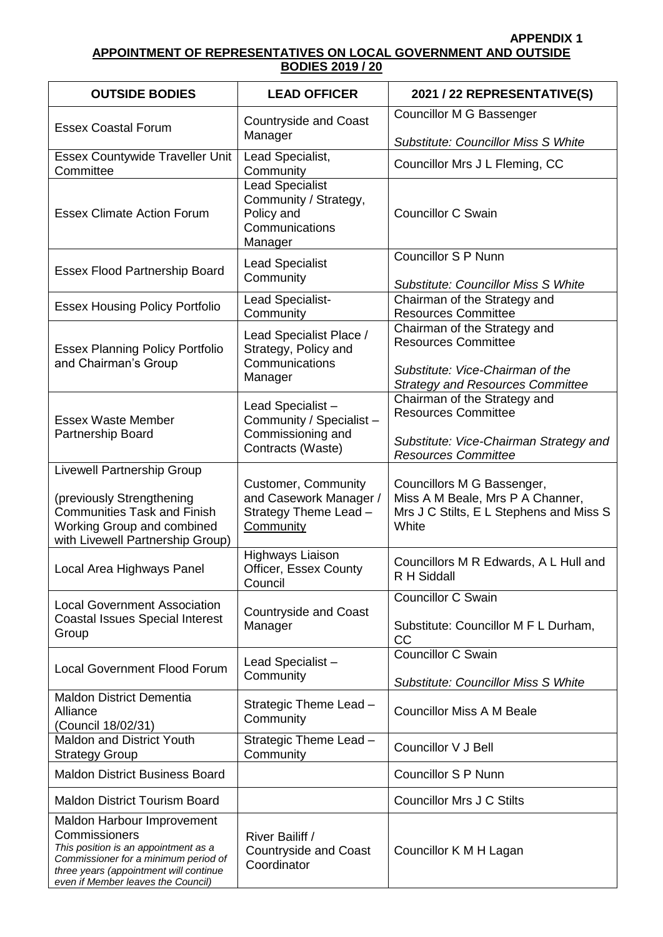### **APPENDIX 1 APPOINTMENT OF REPRESENTATIVES ON LOCAL GOVERNMENT AND OUTSIDE BODIES 2019 / 20**

| <b>OUTSIDE BODIES</b>                                                                                                                                                                                       | <b>LEAD OFFICER</b>                                                                                     | 2021 / 22 REPRESENTATIVE(S)                                                                                        |
|-------------------------------------------------------------------------------------------------------------------------------------------------------------------------------------------------------------|---------------------------------------------------------------------------------------------------------|--------------------------------------------------------------------------------------------------------------------|
| <b>Essex Coastal Forum</b>                                                                                                                                                                                  | <b>Countryside and Coast</b><br>Manager                                                                 | Councillor M G Bassenger                                                                                           |
| <b>Essex Countywide Traveller Unit</b>                                                                                                                                                                      | Lead Specialist,                                                                                        | <b>Substitute: Councillor Miss S White</b><br>Councillor Mrs J L Fleming, CC                                       |
| Committee<br><b>Essex Climate Action Forum</b>                                                                                                                                                              | Community<br><b>Lead Specialist</b><br>Community / Strategy,<br>Policy and<br>Communications<br>Manager | <b>Councillor C Swain</b>                                                                                          |
| <b>Essex Flood Partnership Board</b>                                                                                                                                                                        | <b>Lead Specialist</b><br>Community                                                                     | <b>Councillor S P Nunn</b><br><b>Substitute: Councillor Miss S White</b>                                           |
| <b>Essex Housing Policy Portfolio</b>                                                                                                                                                                       | Lead Specialist-<br>Community                                                                           | Chairman of the Strategy and<br><b>Resources Committee</b>                                                         |
| <b>Essex Planning Policy Portfolio</b><br>and Chairman's Group                                                                                                                                              | Lead Specialist Place /<br>Strategy, Policy and<br>Communications                                       | Chairman of the Strategy and<br><b>Resources Committee</b><br>Substitute: Vice-Chairman of the                     |
| <b>Essex Waste Member</b>                                                                                                                                                                                   | Manager<br>Lead Specialist-<br>Community / Specialist -                                                 | <b>Strategy and Resources Committee</b><br>Chairman of the Strategy and<br><b>Resources Committee</b>              |
| Partnership Board                                                                                                                                                                                           | Commissioning and<br>Contracts (Waste)                                                                  | Substitute: Vice-Chairman Strategy and<br><b>Resources Committee</b>                                               |
| Livewell Partnership Group<br>(previously Strengthening<br><b>Communities Task and Finish</b><br><b>Working Group and combined</b><br>with Livewell Partnership Group)                                      | <b>Customer, Community</b><br>and Casework Manager /<br>Strategy Theme Lead -<br>Community              | Councillors M G Bassenger,<br>Miss A M Beale, Mrs P A Channer,<br>Mrs J C Stilts, E L Stephens and Miss S<br>White |
| Local Area Highways Panel                                                                                                                                                                                   | <b>Highways Liaison</b><br>Officer, Essex County<br>Council                                             | Councillors M R Edwards, A L Hull and<br>R H Siddall                                                               |
| <b>Local Government Association</b><br><b>Coastal Issues Special Interest</b><br>Group                                                                                                                      | <b>Countryside and Coast</b><br>Manager                                                                 | <b>Councillor C Swain</b><br>Substitute: Councillor M F L Durham,<br>cc                                            |
| <b>Local Government Flood Forum</b>                                                                                                                                                                         | Lead Specialist-<br>Community                                                                           | <b>Councillor C Swain</b><br><b>Substitute: Councillor Miss S White</b>                                            |
| <b>Maldon District Dementia</b><br>Alliance<br>(Council 18/02/31)                                                                                                                                           | Strategic Theme Lead -<br>Community                                                                     | <b>Councillor Miss A M Beale</b>                                                                                   |
| <b>Maldon and District Youth</b><br><b>Strategy Group</b>                                                                                                                                                   | Strategic Theme Lead -<br>Community                                                                     | Councillor V J Bell                                                                                                |
| <b>Maldon District Business Board</b>                                                                                                                                                                       |                                                                                                         | <b>Councillor S P Nunn</b>                                                                                         |
| <b>Maldon District Tourism Board</b>                                                                                                                                                                        |                                                                                                         | <b>Councillor Mrs J C Stilts</b>                                                                                   |
| Maldon Harbour Improvement<br>Commissioners<br>This position is an appointment as a<br>Commissioner for a minimum period of<br>three years (appointment will continue<br>even if Member leaves the Council) | River Bailiff /<br><b>Countryside and Coast</b><br>Coordinator                                          | Councillor K M H Lagan                                                                                             |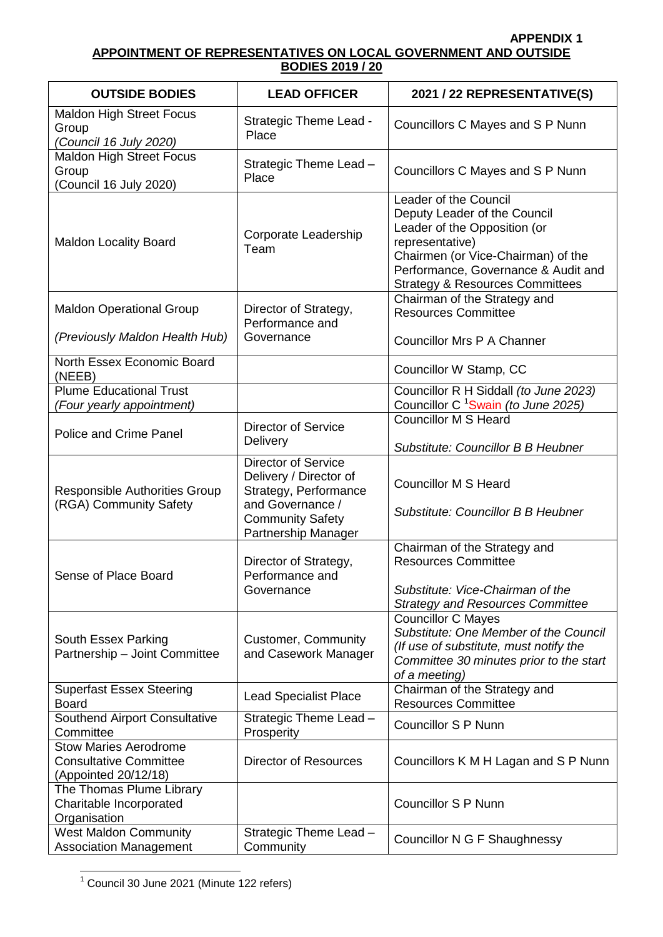# **APPENDIX 1**

## **APPOINTMENT OF REPRESENTATIVES ON LOCAL GOVERNMENT AND OUTSIDE BODIES 2019 / 20**

| <b>OUTSIDE BODIES</b>                                                                 | <b>LEAD OFFICER</b>                                                                                                                                 | 2021 / 22 REPRESENTATIVE(S)                                                                                                                                                                                                         |
|---------------------------------------------------------------------------------------|-----------------------------------------------------------------------------------------------------------------------------------------------------|-------------------------------------------------------------------------------------------------------------------------------------------------------------------------------------------------------------------------------------|
| <b>Maldon High Street Focus</b><br>Group<br>(Council 16 July 2020)                    | Strategic Theme Lead -<br>Place                                                                                                                     | Councillors C Mayes and S P Nunn                                                                                                                                                                                                    |
| <b>Maldon High Street Focus</b><br>Group<br>(Council 16 July 2020)                    | Strategic Theme Lead -<br>Place                                                                                                                     | Councillors C Mayes and S P Nunn                                                                                                                                                                                                    |
| <b>Maldon Locality Board</b>                                                          | Corporate Leadership<br>Team                                                                                                                        | Leader of the Council<br>Deputy Leader of the Council<br>Leader of the Opposition (or<br>representative)<br>Chairmen (or Vice-Chairman) of the<br>Performance, Governance & Audit and<br><b>Strategy &amp; Resources Committees</b> |
| <b>Maldon Operational Group</b>                                                       | Director of Strategy,<br>Performance and                                                                                                            | Chairman of the Strategy and<br><b>Resources Committee</b>                                                                                                                                                                          |
| (Previously Maldon Health Hub)                                                        | Governance                                                                                                                                          | <b>Councillor Mrs P A Channer</b>                                                                                                                                                                                                   |
| North Essex Economic Board<br>(NEEB)                                                  |                                                                                                                                                     | Councillor W Stamp, CC                                                                                                                                                                                                              |
| <b>Plume Educational Trust</b><br>(Four yearly appointment)                           |                                                                                                                                                     | Councillor R H Siddall (to June 2023)<br>Councillor C <sup>1</sup> Swain (to June 2025)                                                                                                                                             |
|                                                                                       | <b>Director of Service</b>                                                                                                                          | <b>Councillor M S Heard</b>                                                                                                                                                                                                         |
| <b>Police and Crime Panel</b>                                                         | Delivery                                                                                                                                            | Substitute: Councillor B B Heubner                                                                                                                                                                                                  |
| <b>Responsible Authorities Group</b><br>(RGA) Community Safety                        | <b>Director of Service</b><br>Delivery / Director of<br>Strategy, Performance<br>and Governance /<br><b>Community Safety</b><br>Partnership Manager | <b>Councillor M S Heard</b><br><b>Substitute: Councillor B B Heubner</b>                                                                                                                                                            |
| Sense of Place Board                                                                  | Director of Strategy,<br>Performance and<br>Governance                                                                                              | Chairman of the Strategy and<br><b>Resources Committee</b><br>Substitute: Vice-Chairman of the<br><b>Strategy and Resources Committee</b>                                                                                           |
| South Essex Parking<br>Partnership - Joint Committee                                  | <b>Customer, Community</b><br>and Casework Manager                                                                                                  | <b>Councillor C Mayes</b><br>Substitute: One Member of the Council<br>(If use of substitute, must notify the<br>Committee 30 minutes prior to the start<br>of a meeting)                                                            |
| <b>Superfast Essex Steering</b><br><b>Board</b>                                       | <b>Lead Specialist Place</b>                                                                                                                        | Chairman of the Strategy and<br><b>Resources Committee</b>                                                                                                                                                                          |
| <b>Southend Airport Consultative</b><br>Committee                                     | Strategic Theme Lead -<br>Prosperity                                                                                                                | <b>Councillor S P Nunn</b>                                                                                                                                                                                                          |
| <b>Stow Maries Aerodrome</b><br><b>Consultative Committee</b><br>(Appointed 20/12/18) | <b>Director of Resources</b>                                                                                                                        | Councillors K M H Lagan and S P Nunn                                                                                                                                                                                                |
| The Thomas Plume Library<br>Charitable Incorporated<br>Organisation                   |                                                                                                                                                     | <b>Councillor S P Nunn</b>                                                                                                                                                                                                          |
| <b>West Maldon Community</b><br><b>Association Management</b>                         | Strategic Theme Lead -<br>Community                                                                                                                 | Councillor N G F Shaughnessy                                                                                                                                                                                                        |

 $1$  Council 30 June 2021 (Minute 122 refers)

 $\overline{1}$